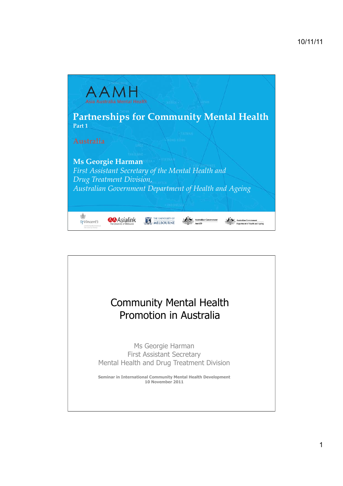

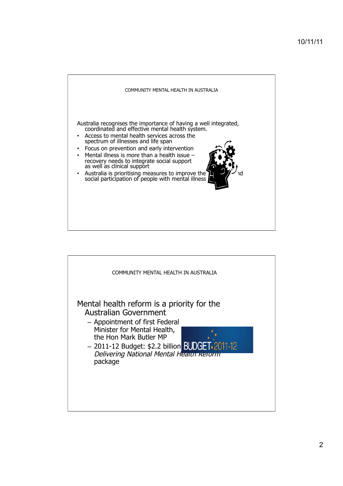

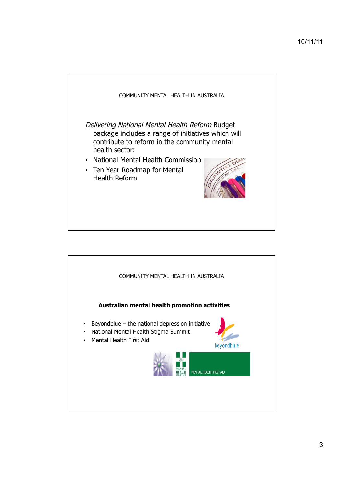

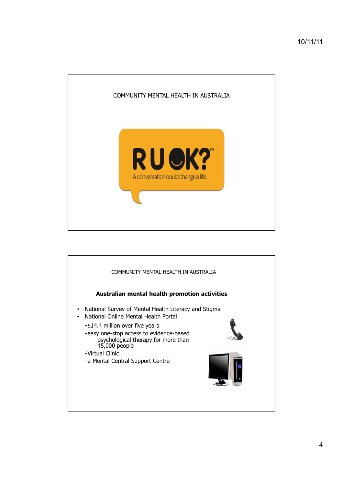